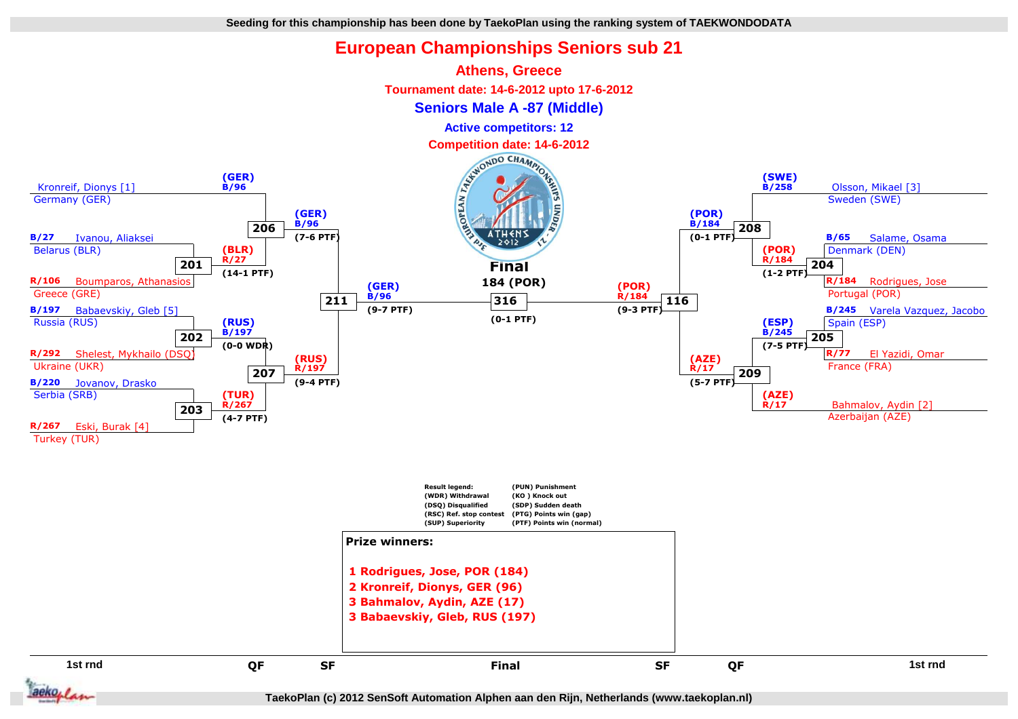## **European Championships Seniors sub 21**

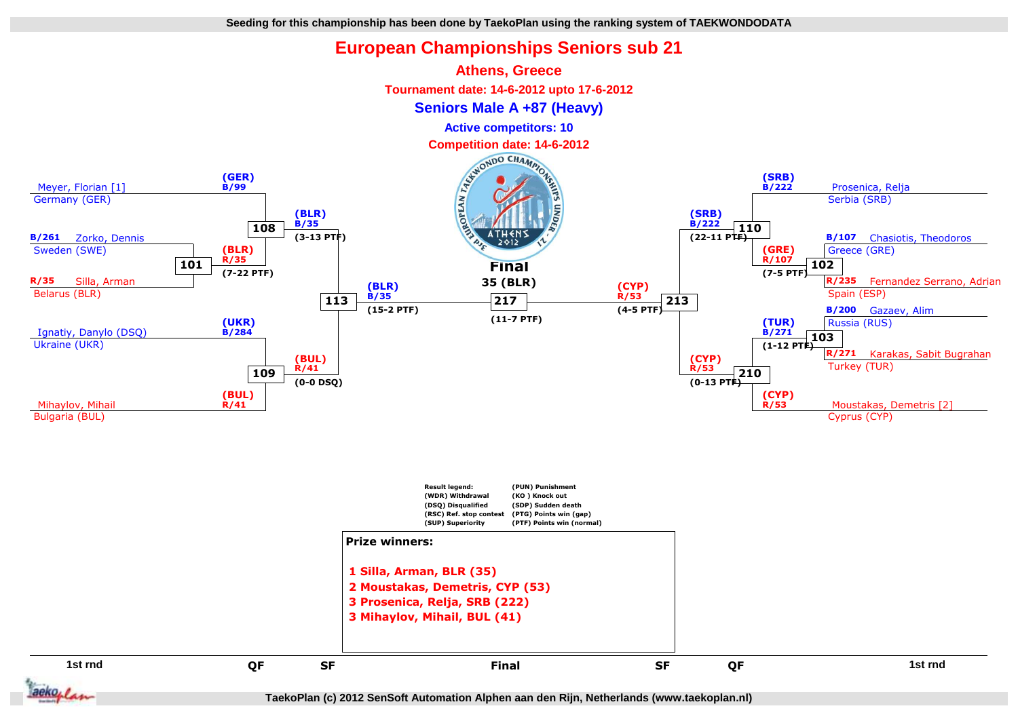## **European Championships Seniors sub 21**

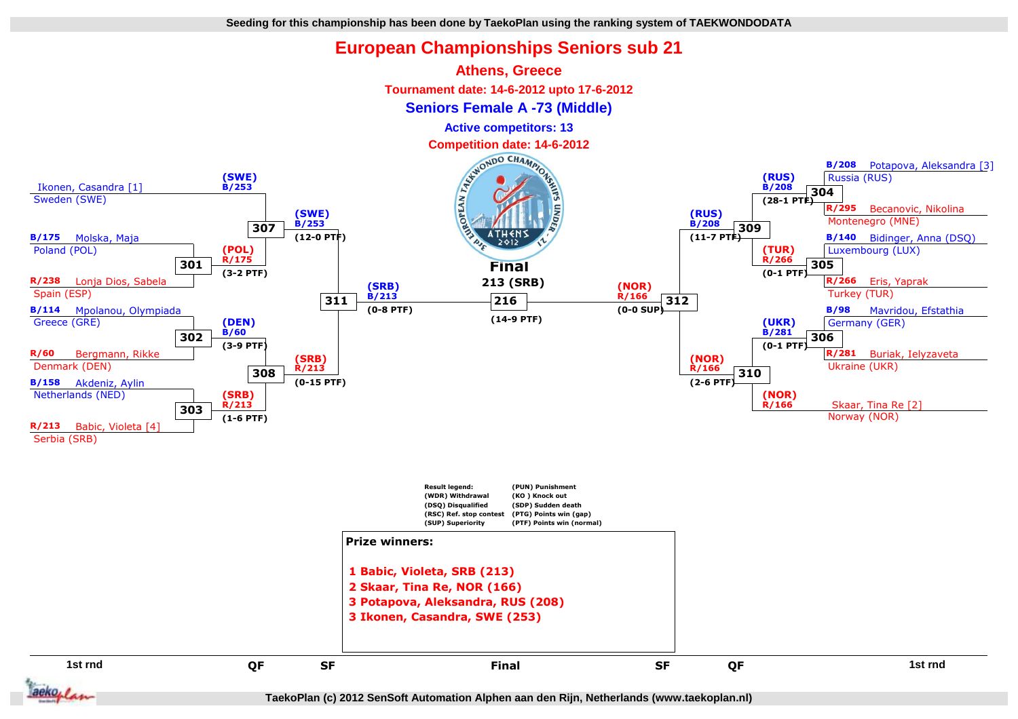## **European Championships Seniors sub 21**



**TaekoPlan (c) 2012 SenSoft Automation Alphen aan den Rijn, Netherlands (www.taekoplan.nl)**